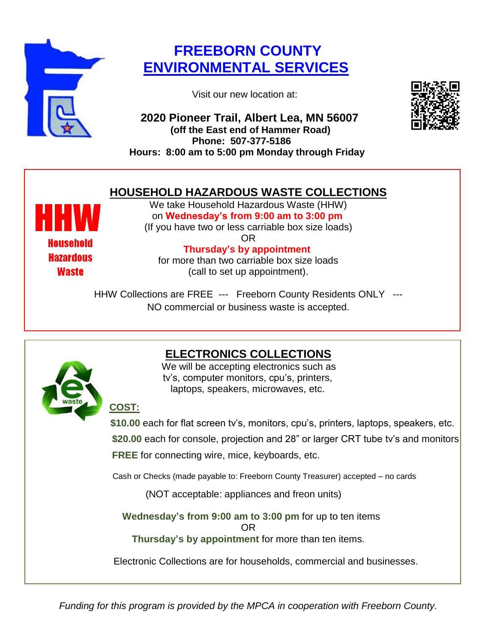

## **FREEBORN COUNTY ENVIRONMENTAL SERVICES**

Visit our new location at:

 **2020 Pioneer Trail, Albert Lea, MN 56007 (off the East end of Hammer Road) Phone: 507-377-5186 Hours: 8:00 am to 5:00 pm Monday through Friday**



## **HOUSEHOLD HAZARDOUS WASTE COLLECTIONS**

**Waste** 

We take Household Hazardous Waste (HHW) on **Wednesday's from 9:00 am to 3:00 pm** (If you have two or less carriable box size loads)

OR **Thursday's by appointment<br>
Hazardous Thursday's by appointment** for more than two carriable box size loads (call to set up appointment).

> HHW Collections are FREE --- Freeborn County Residents ONLY --- NO commercial or business waste is accepted.



## **ELECTRONICS COLLECTIONS**

 We will be accepting electronics such as tv's, computer monitors, cpu's, printers, laptops, speakers, microwaves, etc.

**COST:** 

 **\$10.00** each for flat screen tv's, monitors, cpu's, printers, laptops, speakers, etc.  **\$20.00** each for console, projection and 28" or larger CRT tube tv's and monitors **FREE** for connecting wire, mice, keyboards, etc.

Cash or Checks (made payable to: Freeborn County Treasurer) accepted – no cards

(NOT acceptable: appliances and freon units)

**Wednesday's from 9:00 am to 3:00 pm** for up to ten items

OR

**Thursday's by appointment** for more than ten items.

Electronic Collections are for households, commercial and businesses.